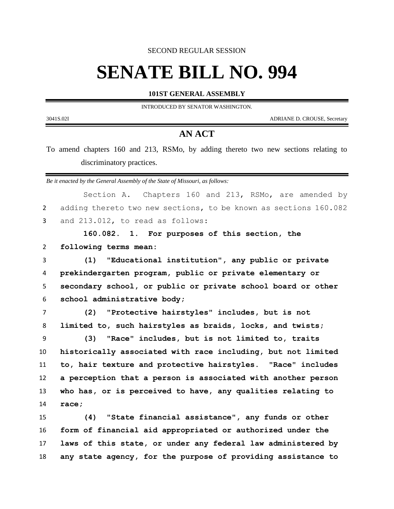SECOND REGULAR SESSION

## **SENATE BILL NO. 994**

**101ST GENERAL ASSEMBLY**

INTRODUCED BY SENATOR WASHINGTON.

3041S.02I ADRIANE D. CROUSE, Secretary

## **AN ACT**

To amend chapters 160 and 213, RSMo, by adding thereto two new sections relating to discriminatory practices.

*Be it enacted by the General Assembly of the State of Missouri, as follows:*

Section A. Chapters 160 and 213, RSMo, are amended by adding thereto two new sections, to be known as sections 160.082 and 213.012, to read as follows: **160.082. 1. For purposes of this section, the following terms mean: (1) "Educational institution", any public or private prekindergarten program, public or private elementary or secondary school, or public or private school board or other school administrative body; (2) "Protective hairstyles" includes, but is not limited to, such hairstyles as braids, locks, and twists; (3) "Race" includes, but is not limited to, traits** 

 **historically associated with race including, but not limited to, hair texture and protective hairstyles. "Race" includes a perception that a person is associated with another person who has, or is perceived to have, any qualities relating to race;**

 **(4) "State financial assistance", any funds or other form of financial aid appropriated or authorized under the laws of this state, or under any federal law administered by any state agency, for the purpose of providing assistance to**